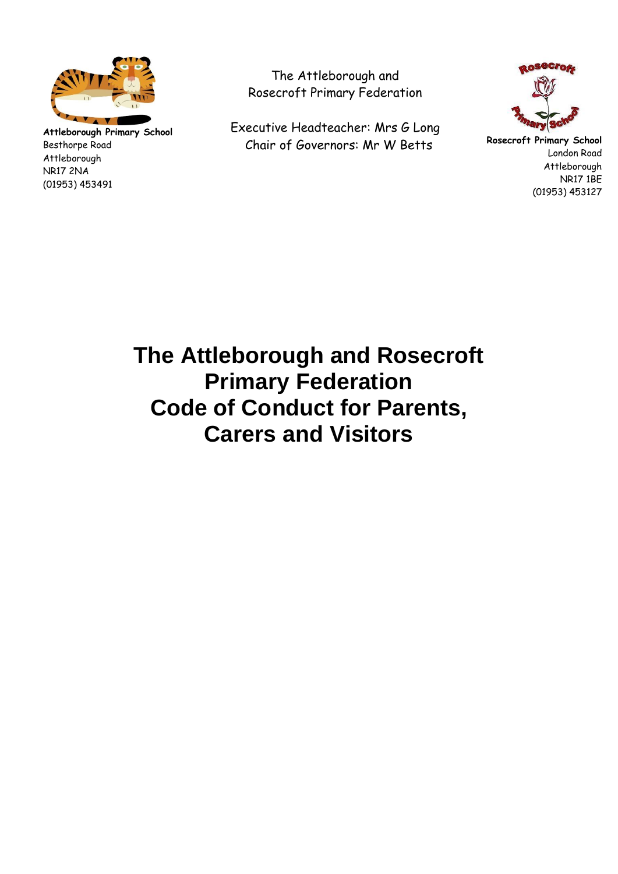

**Attleborough Primary School** Besthorpe Road Attleborough NR17 2NA (01953) 453491

The Attleborough and Rosecroft Primary Federation

Executive Headteacher: Mrs G Long Chair of Governors: Mr W Betts



**Rosecroft Primary School** London Road Attleborough NR17 1BE (01953) 453127

**The Attleborough and Rosecroft Primary Federation Code of Conduct for Parents, Carers and Visitors**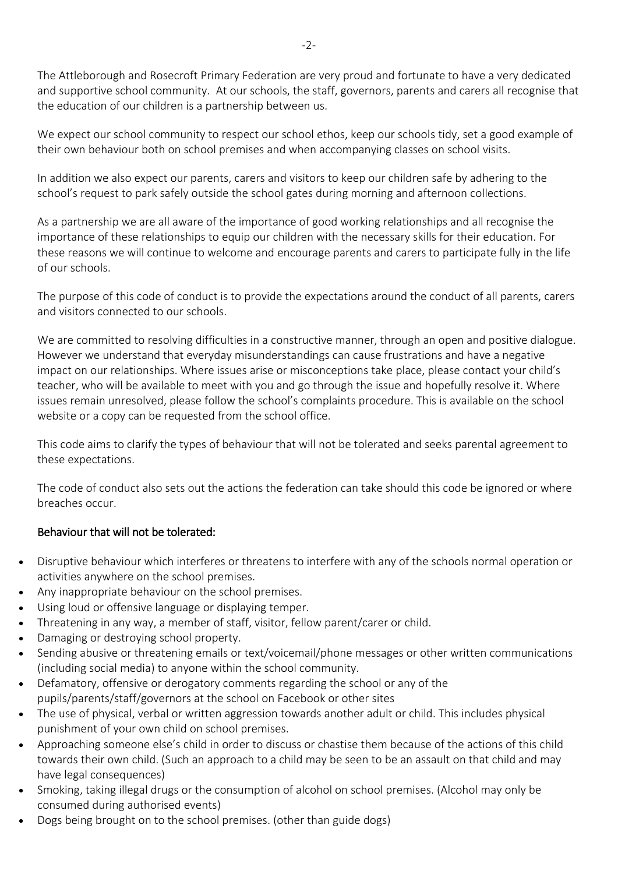The Attleborough and Rosecroft Primary Federation are very proud and fortunate to have a very dedicated and supportive school community. At our schools, the staff, governors, parents and carers all recognise that the education of our children is a partnership between us.

We expect our school community to respect our school ethos, keep our schools tidy, set a good example of their own behaviour both on school premises and when accompanying classes on school visits.

In addition we also expect our parents, carers and visitors to keep our children safe by adhering to the school's request to park safely outside the school gates during morning and afternoon collections.

As a partnership we are all aware of the importance of good working relationships and all recognise the importance of these relationships to equip our children with the necessary skills for their education. For these reasons we will continue to welcome and encourage parents and carers to participate fully in the life of our schools.

The purpose of this code of conduct is to provide the expectations around the conduct of all parents, carers and visitors connected to our schools.

We are committed to resolving difficulties in a constructive manner, through an open and positive dialogue. However we understand that everyday misunderstandings can cause frustrations and have a negative impact on our relationships. Where issues arise or misconceptions take place, please contact your child's teacher, who will be available to meet with you and go through the issue and hopefully resolve it. Where issues remain unresolved, please follow the school's complaints procedure. This is available on the school website or a copy can be requested from the school office.

This code aims to clarify the types of behaviour that will not be tolerated and seeks parental agreement to these expectations.

The code of conduct also sets out the actions the federation can take should this code be ignored or where breaches occur.

## Behaviour that will not be tolerated:

- Disruptive behaviour which interferes or threatens to interfere with any of the schools normal operation or activities anywhere on the school premises.
- Any inappropriate behaviour on the school premises.
- Using loud or offensive language or displaying temper.
- Threatening in any way, a member of staff, visitor, fellow parent/carer or child.
- Damaging or destroying school property.
- Sending abusive or threatening emails or text/voicemail/phone messages or other written communications (including social media) to anyone within the school community.
- Defamatory, offensive or derogatory comments regarding the school or any of the pupils/parents/staff/governors at the school on Facebook or other sites
- The use of physical, verbal or written aggression towards another adult or child. This includes physical punishment of your own child on school premises.
- Approaching someone else's child in order to discuss or chastise them because of the actions of this child towards their own child. (Such an approach to a child may be seen to be an assault on that child and may have legal consequences)
- Smoking, taking illegal drugs or the consumption of alcohol on school premises. (Alcohol may only be consumed during authorised events)
- Dogs being brought on to the school premises. (other than guide dogs)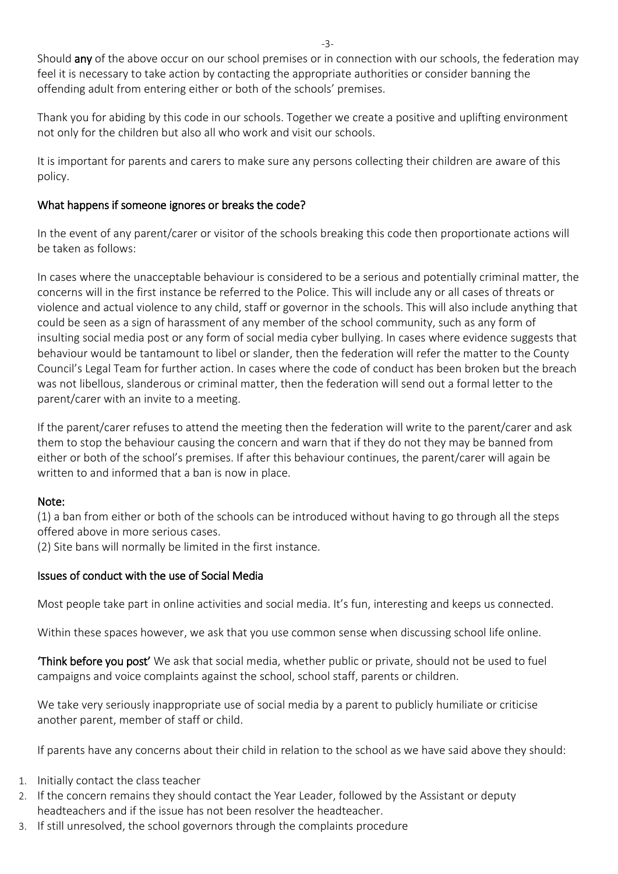Should any of the above occur on our school premises or in connection with our schools, the federation may feel it is necessary to take action by contacting the appropriate authorities or consider banning the offending adult from entering either or both of the schools' premises.

Thank you for abiding by this code in our schools. Together we create a positive and uplifting environment not only for the children but also all who work and visit our schools.

It is important for parents and carers to make sure any persons collecting their children are aware of this policy.

# What happens if someone ignores or breaks the code?

In the event of any parent/carer or visitor of the schools breaking this code then proportionate actions will be taken as follows:

In cases where the unacceptable behaviour is considered to be a serious and potentially criminal matter, the concerns will in the first instance be referred to the Police. This will include any or all cases of threats or violence and actual violence to any child, staff or governor in the schools. This will also include anything that could be seen as a sign of harassment of any member of the school community, such as any form of insulting social media post or any form of social media cyber bullying. In cases where evidence suggests that behaviour would be tantamount to libel or slander, then the federation will refer the matter to the County Council's Legal Team for further action. In cases where the code of conduct has been broken but the breach was not libellous, slanderous or criminal matter, then the federation will send out a formal letter to the parent/carer with an invite to a meeting.

If the parent/carer refuses to attend the meeting then the federation will write to the parent/carer and ask them to stop the behaviour causing the concern and warn that if they do not they may be banned from either or both of the school's premises. If after this behaviour continues, the parent/carer will again be written to and informed that a ban is now in place.

## Note:

(1) a ban from either or both of the schools can be introduced without having to go through all the steps offered above in more serious cases.

(2) Site bans will normally be limited in the first instance.

## Issues of conduct with the use of Social Media

Most people take part in online activities and social media. It's fun, interesting and keeps us connected.

Within these spaces however, we ask that you use common sense when discussing school life online.

'Think before you post' We ask that social media, whether public or private, should not be used to fuel campaigns and voice complaints against the school, school staff, parents or children.

We take very seriously inappropriate use of social media by a parent to publicly humiliate or criticise another parent, member of staff or child.

If parents have any concerns about their child in relation to the school as we have said above they should:

- 1. Initially contact the class teacher
- 2. If the concern remains they should contact the Year Leader, followed by the Assistant or deputy headteachers and if the issue has not been resolver the headteacher.
- 3. If still unresolved, the school governors through the complaints procedure